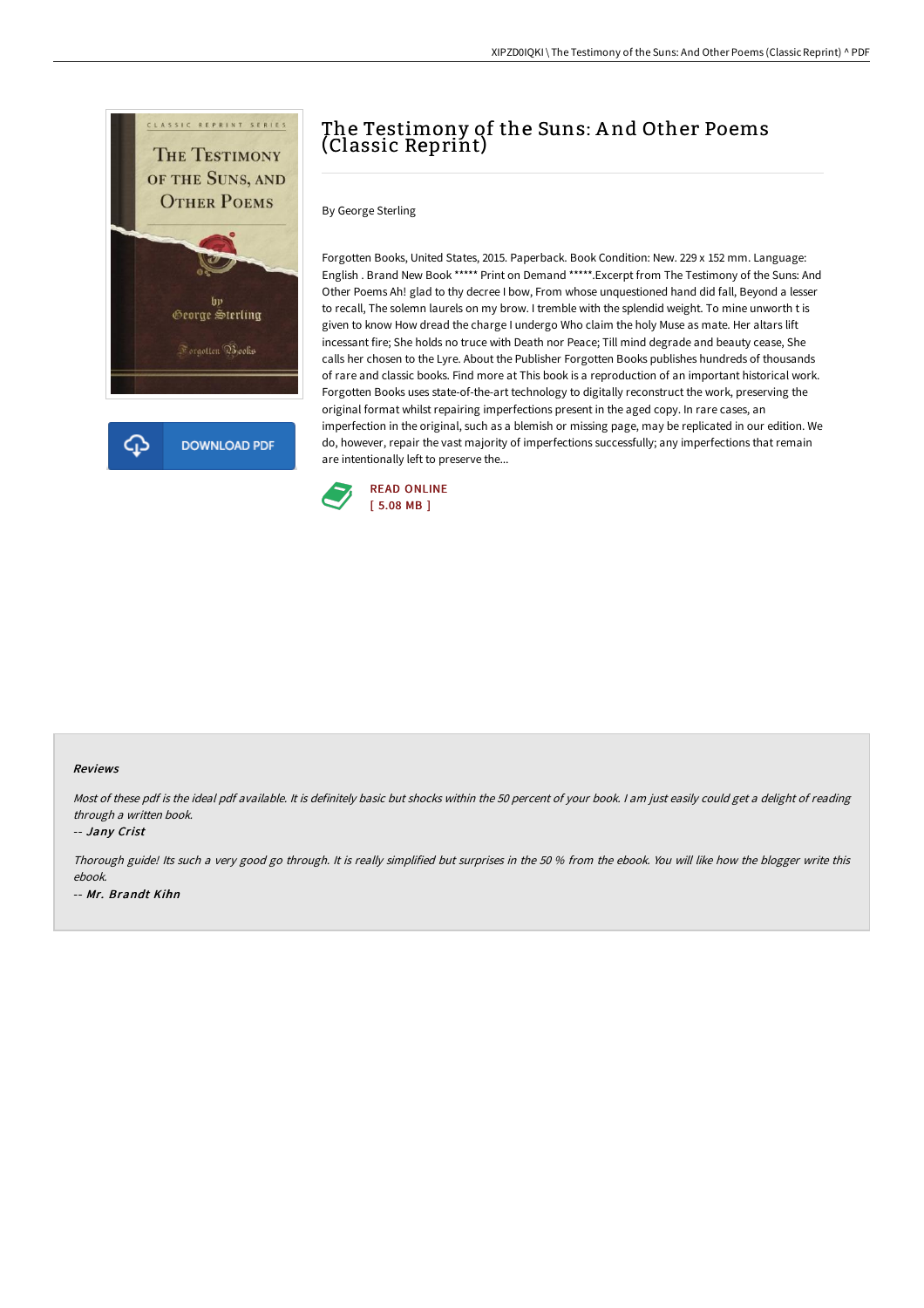

## The Testimony of the Suns: A nd Other Poems (Classic Reprint)

By George Sterling

Forgotten Books, United States, 2015. Paperback. Book Condition: New. 229 x 152 mm. Language: English . Brand New Book \*\*\*\*\* Print on Demand \*\*\*\*\*.Excerpt from The Testimony of the Suns: And Other Poems Ah! glad to thy decree I bow, From whose unquestioned hand did fall, Beyond a lesser to recall, The solemn laurels on my brow. I tremble with the splendid weight. To mine unworth t is given to know How dread the charge I undergo Who claim the holy Muse as mate. Her altars lift incessant fire; She holds no truce with Death nor Peace; Till mind degrade and beauty cease, She calls her chosen to the Lyre. About the Publisher Forgotten Books publishes hundreds of thousands of rare and classic books. Find more at This book is a reproduction of an important historical work. Forgotten Books uses state-of-the-art technology to digitally reconstruct the work, preserving the original format whilst repairing imperfections present in the aged copy. In rare cases, an imperfection in the original, such as a blemish or missing page, may be replicated in our edition. We do, however, repair the vast majority of imperfections successfully; any imperfections that remain are intentionally left to preserve the...



## Reviews

Most of these pdf is the ideal pdf available. It is definitely basic but shocks within the 50 percent of your book. I am just easily could get a delight of reading through <sup>a</sup> written book.

## -- Jany Crist

Thorough guide! Its such <sup>a</sup> very good go through. It is really simplified but surprises in the <sup>50</sup> % from the ebook. You will like how the blogger write this ebook. -- Mr. Brandt Kihn